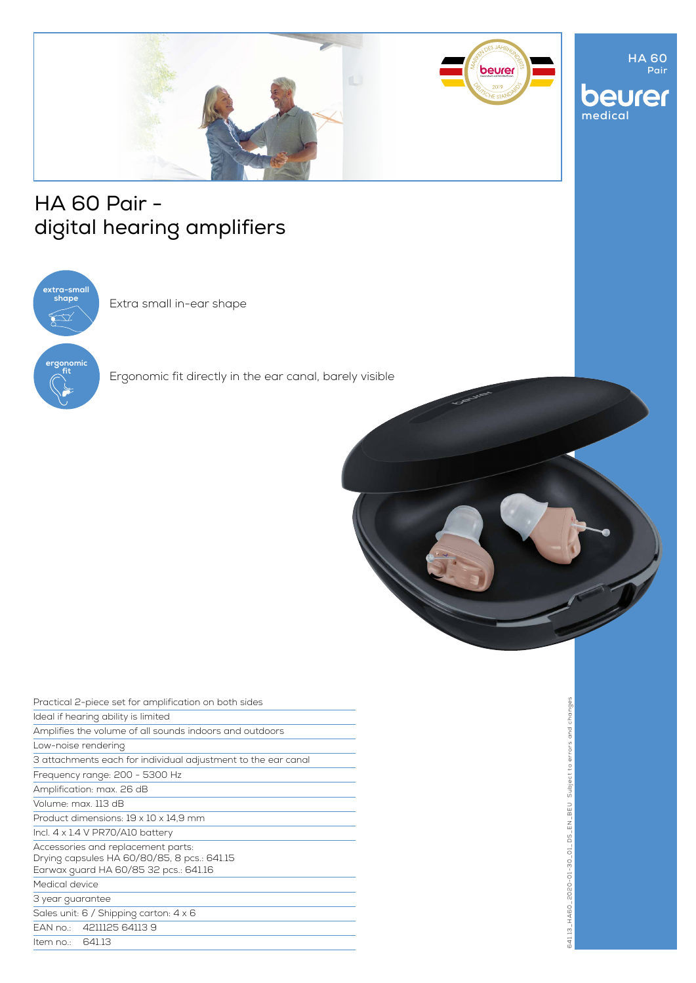

# HA 60 Pair digital hearing amplifiers



Extra small in-ear shape

Ergonomic fit directly in the ear canal, barely visible



| Practical 2-piece set for amplification on both sides                                                                      |
|----------------------------------------------------------------------------------------------------------------------------|
| Ideal if hearing ability is limited                                                                                        |
| Amplifies the volume of all sounds indoors and outdoors                                                                    |
| Low-noise rendering                                                                                                        |
| 3 attachments each for individual adjustment to the ear canal                                                              |
| Frequency range: 200 - 5300 Hz                                                                                             |
| Amplification: max. 26 dB                                                                                                  |
| Volume: max 113 dB                                                                                                         |
| Product dimensions: 19 x 10 x 14.9 mm                                                                                      |
| Incl. $4 \times 1.4$ V PR70/A10 battery                                                                                    |
| Accessories and replacement parts:<br>Drying capsules HA 60/80/85, 8 pcs.: 641.15<br>Earwax guard HA 60/85 32 pcs.: 641.16 |
| Medical device                                                                                                             |
| 3 year guarantee                                                                                                           |
| Sales unit: 6 / Shipping carton: 4 x 6                                                                                     |
| EAN no.: 4211125 64113 9                                                                                                   |
| Item no.: 641.13                                                                                                           |

**HA 60 Pair**